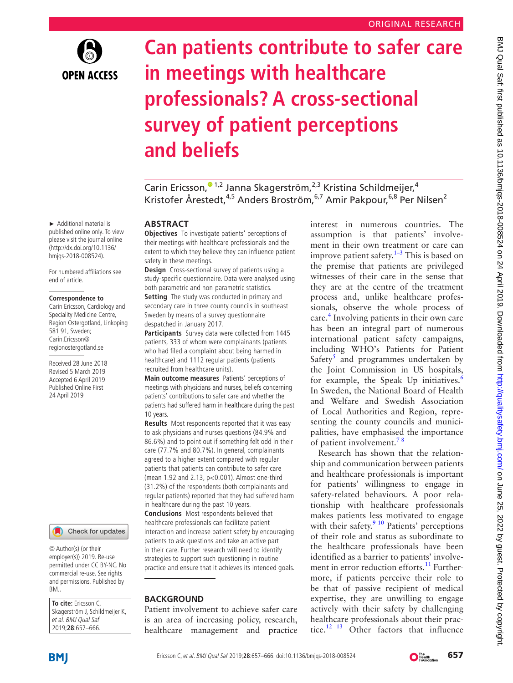

# **Can patients contribute to safer care in meetings with healthcare professionals? A cross-sectional survey of patient perceptions and beliefs**

Carin Ericsson[,](http://orcid.org/0000-0001-6939-7593)<sup>01,2</sup> Janna Skagerström,<sup>2,3</sup> Kristina Schildmeijer,<sup>4</sup> Kristofer Årestedt,<sup>4,5</sup> Anders Broström,<sup>6,7</sup> Amir Pakpour,<sup>6,8</sup> Per Nilsen<sup>2</sup>

#### **Abstract**

**Objectives** To investigate patients' perceptions of their meetings with healthcare professionals and the extent to which they believe they can influence patient safety in these meetings.

**Design** Cross-sectional survey of patients using a study-specific questionnaire. Data were analysed using both parametric and non-parametric statistics. **Setting** The study was conducted in primary and secondary care in three county councils in southeast Sweden by means of a survey questionnaire despatched in January 2017.

**Participants** Survey data were collected from 1445 patients, 333 of whom were complainants (patients who had filed a complaint about being harmed in healthcare) and 1112 regular patients (patients recruited from healthcare units).

**Main outcome measures** Patients' perceptions of meetings with physicians and nurses, beliefs concerning patients' contributions to safer care and whether the patients had suffered harm in healthcare during the past 10 years.

**Results** Most respondents reported that it was easy to ask physicians and nurses questions (84.9% and 86.6%) and to point out if something felt odd in their care (77.7% and 80.7%). In general, complainants agreed to a higher extent compared with regular patients that patients can contribute to safer care (mean 1.92 and 2.13, p<0.001). Almost one-third (31.2%) of the respondents (both complainants and regular patients) reported that they had suffered harm in healthcare during the past 10 years. **Conclusions** Most respondents believed that healthcare professionals can facilitate patient interaction and increase patient safety by encouraging

patients to ask questions and take an active part in their care. Further research will need to identify strategies to support such questioning in routine practice and ensure that it achieves its intended goals.

# **BACKGROUND**

Patient involvement to achieve safer care is an area of increasing policy, research, healthcare management and practice interest in numerous countries. The assumption is that patients' involvement in their own treatment or care can improve patient safety. $1-3$  This is based on the premise that patients are privileged witnesses of their care in the sense that they are at the centre of the treatment process and, unlike healthcare professionals, observe the whole process of care.<sup>[4](#page-8-1)</sup> Involving patients in their own care has been an integral part of numerous international patient safety campaigns, including WHO's Patients for Patient Safety<sup>5</sup> and programmes undertaken by the Joint Commission in US hospitals, for example, the Speak Up initiatives.<sup>[6](#page-8-3)</sup> In Sweden, the National Board of Health and Welfare and Swedish Association of Local Authorities and Region, representing the county councils and municipalities, have emphasised the importance of patient involvement.[7 8](#page-8-4)

Research has shown that the relationship and communication between patients and healthcare professionals is important for patients' willingness to engage in safety-related behaviours. A poor relationship with healthcare professionals makes patients less motivated to engage with their safety.<sup>[9 10](#page-8-5)</sup> Patients' perceptions of their role and status as subordinate to the healthcare professionals have been identified as a barrier to patients' involvement in error reduction efforts.<sup>11</sup> Furthermore, if patients perceive their role to be that of passive recipient of medical expertise, they are unwilling to engage actively with their safety by challenging healthcare professionals about their practice.<sup>12 13</sup> Other factors that influence

► Additional material is published online only. To view please visit the journal online [\(http://dx.doi.org/10.1136/](http://dx.doi.org/10.1136/bmjqs-2018-008524) [bmjqs-2018-008524](http://dx.doi.org/10.1136/bmjqs-2018-008524)).

For numbered affiliations see end of article.

#### **Correspondence to**

Carin Ericsson, Cardiology and Speciality Medicine Centre, Region Ostergotland, Linkoping 581 91, Sweden; Carin.Ericsson@ regionostergotland.se

Received 28 June 2018 Revised 5 March 2019 Accepted 6 April 2019 Published Online First 24 April 2019



© Author(s) (or their employer(s)) 2019. Re-use permitted under CC BY-NC. No commercial re-use. See rights and permissions. Published by BMJ.

**To cite:** Ericsson C, Skagerström J, Schildmeijer K, et al. BMJ Qual Saf 2019;**28**:657–666.



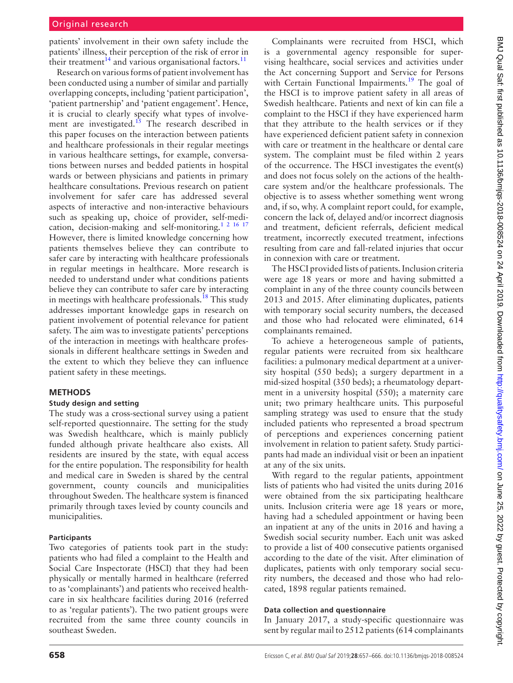# Original research

patients' involvement in their own safety include the patients' illness, their perception of the risk of error in their treatment<sup>14</sup> and various organisational factors.<sup>[11](#page-8-6)</sup>

Research on various forms of patient involvement has been conducted using a number of similar and partially overlapping concepts, including 'patient participation', 'patient partnership' and 'patient engagement'. Hence, it is crucial to clearly specify what types of involvement are investigated.<sup>15</sup> The research described in this paper focuses on the interaction between patients and healthcare professionals in their regular meetings in various healthcare settings, for example, conversations between nurses and bedded patients in hospital wards or between physicians and patients in primary healthcare consultations. Previous research on patient involvement for safer care has addressed several aspects of interactive and non-interactive behaviours such as speaking up, choice of provider, self-medication, decision-making and self-monitoring.<sup>1</sup><sup>2</sup> <sup>16</sup><sup>17</sup> However, there is limited knowledge concerning how patients themselves believe they can contribute to safer care by interacting with healthcare professionals in regular meetings in healthcare. More research is needed to understand under what conditions patients believe they can contribute to safer care by interacting in meetings with healthcare professionals.<sup>[18](#page-8-10)</sup> This study addresses important knowledge gaps in research on patient involvement of potential relevance for patient safety. The aim was to investigate patients' perceptions of the interaction in meetings with healthcare professionals in different healthcare settings in Sweden and the extent to which they believe they can influence patient safety in these meetings.

#### **Methods**

#### **Study design and setting**

The study was a cross-sectional survey using a patient self-reported questionnaire. The setting for the study was Swedish healthcare, which is mainly publicly funded although private healthcare also exists. All residents are insured by the state, with equal access for the entire population. The responsibility for health and medical care in Sweden is shared by the central government, county councils and municipalities throughout Sweden. The healthcare system is financed primarily through taxes levied by county councils and municipalities.

#### **Participants**

Two categories of patients took part in the study: patients who had filed a complaint to the Health and Social Care Inspectorate (HSCI) that they had been physically or mentally harmed in healthcare (referred to as 'complainants') and patients who received healthcare in six healthcare facilities during 2016 (referred to as 'regular patients'). The two patient groups were recruited from the same three county councils in southeast Sweden.

Complainants were recruited from HSCI, which is a governmental agency responsible for supervising healthcare, social services and activities under the Act concerning Support and Service for Persons with Certain Functional Impairments.<sup>[19](#page-8-11)</sup> The goal of the HSCI is to improve patient safety in all areas of Swedish healthcare. Patients and next of kin can file a complaint to the HSCI if they have experienced harm that they attribute to the health services or if they have experienced deficient patient safety in connexion with care or treatment in the healthcare or dental care system. The complaint must be filed within 2 years of the occurrence. The HSCI investigates the event(s) and does not focus solely on the actions of the healthcare system and/or the healthcare professionals. The objective is to assess whether something went wrong and, if so, why. A complaint report could, for example, concern the lack of, delayed and/or incorrect diagnosis and treatment, deficient referrals, deficient medical treatment, incorrectly executed treatment, infections resulting from care and fall-related injuries that occur in connexion with care or treatment.

The HSCI provided lists of patients. Inclusion criteria were age 18 years or more and having submitted a complaint in any of the three county councils between 2013 and 2015. After eliminating duplicates, patients with temporary social security numbers, the deceased and those who had relocated were eliminated, 614 complainants remained.

To achieve a heterogeneous sample of patients, regular patients were recruited from six healthcare facilities: a pulmonary medical department at a university hospital (550 beds); a surgery department in a mid-sized hospital (350 beds); a rheumatology department in a university hospital (550); a maternity care unit; two primary healthcare units. This purposeful sampling strategy was used to ensure that the study included patients who represented a broad spectrum of perceptions and experiences concerning patient involvement in relation to patient safety. Study participants had made an individual visit or been an inpatient at any of the six units.

With regard to the regular patients, appointment lists of patients who had visited the units during 2016 were obtained from the six participating healthcare units. Inclusion criteria were age 18 years or more, having had a scheduled appointment or having been an inpatient at any of the units in 2016 and having a Swedish social security number. Each unit was asked to provide a list of 400 consecutive patients organised according to the date of the visit. After elimination of duplicates, patients with only temporary social security numbers, the deceased and those who had relocated, 1898 regular patients remained.

#### **Data collection and questionnaire**

In January 2017, a study-specific questionnaire was sent by regular mail to 2512 patients (614 complainants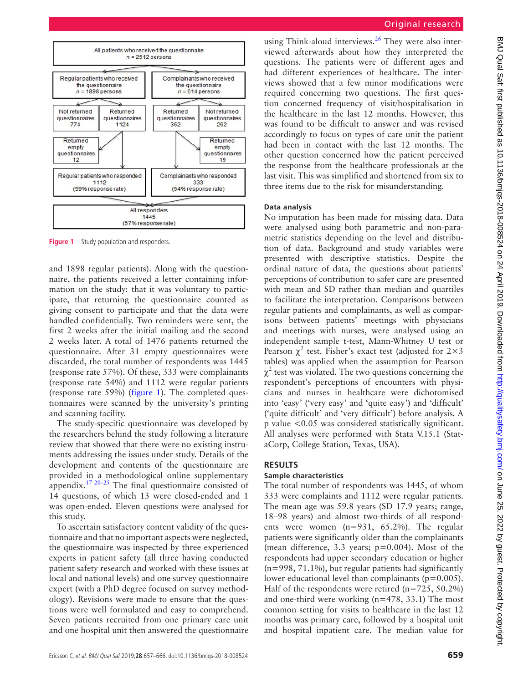

<span id="page-2-0"></span>**Figure 1** Study population and responders.

and 1898 regular patients). Along with the questionnaire, the patients received a letter containing information on the study: that it was voluntary to participate, that returning the questionnaire counted as giving consent to participate and that the data were handled confidentially. Two reminders were sent, the first 2 weeks after the initial mailing and the second 2 weeks later. A total of 1476 patients returned the questionnaire. After 31 empty questionnaires were discarded, the total number of respondents was 1445 (response rate 57%). Of these, 333 were complainants (response rate 54%) and 1112 were regular patients (response rate 59%) [\(figure](#page-2-0) 1). The completed questionnaires were scanned by the university's printing and scanning facility.

The study-specific questionnaire was developed by the researchers behind the study following a literature review that showed that there were no existing instruments addressing the issues under study. Details of the development and contents of the questionnaire are provided in a methodological [online supplementary](https://dx.doi.org/10.1136/bmjqs-2018-008524)  [appendix.](https://dx.doi.org/10.1136/bmjqs-2018-008524)[17 20–25](#page-8-12) The final questionnaire consisted of 14 questions, of which 13 were closed-ended and 1 was open-ended. Eleven questions were analysed for this study.

To ascertain satisfactory content validity of the questionnaire and that no important aspects were neglected, the questionnaire was inspected by three experienced experts in patient safety (all three having conducted patient safety research and worked with these issues at local and national levels) and one survey questionnaire expert (with a PhD degree focused on survey methodology). Revisions were made to ensure that the questions were well formulated and easy to comprehend. Seven patients recruited from one primary care unit and one hospital unit then answered the questionnaire

using Think-aloud interviews. $26$  They were also interviewed afterwards about how they interpreted the questions. The patients were of different ages and had different experiences of healthcare. The interviews showed that a few minor modifications were required concerning two questions. The first question concerned frequency of visit/hospitalisation in the healthcare in the last 12 months. However, this was found to be difficult to answer and was revised accordingly to focus on types of care unit the patient had been in contact with the last 12 months. The other question concerned how the patient perceived the response from the healthcare professionals at the last visit. This was simplified and shortened from six to three items due to the risk for misunderstanding.

#### **Data analysis**

No imputation has been made for missing data. Data were analysed using both parametric and non-parametric statistics depending on the level and distribution of data. Background and study variables were presented with descriptive statistics. Despite the ordinal nature of data, the questions about patients' perceptions of contribution to safer care are presented with mean and SD rather than median and quartiles to facilitate the interpretation. Comparisons between regular patients and complainants, as well as comparisons between patients' meetings with physicians and meetings with nurses, were analysed using an independent sample t-test, Mann-Whitney U test or Pearson  $\chi^2$  test. Fisher's exact test (adjusted for 2×3 tables) was applied when the assumption for Pearson  $\chi^2$  test was violated. The two questions concerning the respondent's perceptions of encounters with physicians and nurses in healthcare were dichotomised into 'easy' ('very easy' and 'quite easy') and 'difficult' ('quite difficult' and 'very difficult') before analysis. A p value <0.05 was considered statistically significant. All analyses were performed with Stata V.15.1 (StataCorp, College Station, Texas, USA).

#### **Results**

#### **Sample characteristics**

The total number of respondents was 1445, of whom 333 were complaints and 1112 were regular patients. The mean age was 59.8 years (SD 17.9 years; range, 18–98 years) and almost two-thirds of all respondents were women (n=931, 65.2%). The regular patients were significantly older than the complainants (mean difference, 3.3 years; p=0.004). Most of the respondents had upper secondary education or higher (n=998, 71.1%), but regular patients had significantly lower educational level than complainants ( $p=0.005$ ). Half of the respondents were retired  $(n=725, 50.2\%)$ and one-third were working (n=478, 33.1) The most common setting for visits to healthcare in the last 12 months was primary care, followed by a hospital unit and hospital inpatient care. The median value for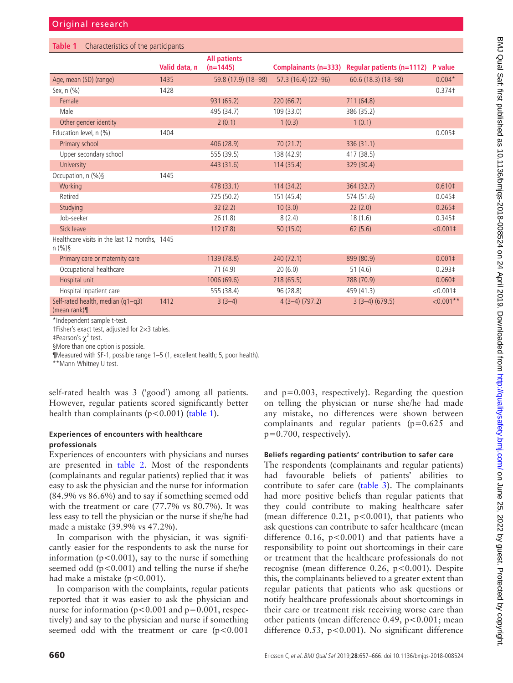<span id="page-3-0"></span>

| Characteristics of the participants<br>Table 1         |               |                                   |                      |                                  |                    |  |
|--------------------------------------------------------|---------------|-----------------------------------|----------------------|----------------------------------|--------------------|--|
|                                                        | Valid data, n | <b>All patients</b><br>$(n=1445)$ | Complainants (n=333) | <b>Regular patients (n=1112)</b> | P value            |  |
| Age, mean (SD) (range)                                 | 1435          | 59.8 (17.9) (18-98)               | 57.3 (16.4) (22-96)  | $60.6(18.3)(18-98)$              | $0.004*$           |  |
| Sex, n (%)                                             | 1428          |                                   |                      |                                  | $0.374$ t          |  |
| Female                                                 |               | 931 (65.2)                        | 220(66.7)            | 711 (64.8)                       |                    |  |
| Male                                                   |               | 495 (34.7)                        | 109 (33.0)           | 386 (35.2)                       |                    |  |
| Other gender identity                                  |               | 2(0.1)                            | 1(0.3)               | 1(0.1)                           |                    |  |
| Education level, n (%)                                 | 1404          |                                   |                      |                                  | 0.005 <sup>‡</sup> |  |
| Primary school                                         |               | 406 (28.9)                        | 70(21.7)             | 336 (31.1)                       |                    |  |
| Upper secondary school                                 |               | 555 (39.5)                        | 138 (42.9)           | 417 (38.5)                       |                    |  |
| University                                             |               | 443 (31.6)                        | 114(35.4)            | 329 (30.4)                       |                    |  |
| Occupation, n (%)§                                     | 1445          |                                   |                      |                                  |                    |  |
| Working                                                |               | 478 (33.1)                        | 114(34.2)            | 364 (32.7)                       | 0.610 <sup>‡</sup> |  |
| Retired                                                |               | 725 (50.2)                        | 151 (45.4)           | 574 (51.6)                       | $0.045 \ddagger$   |  |
| Studying                                               |               | 32(2.2)                           | 10(3.0)              | 22(2.0)                          | $0.265 \pm$        |  |
| Job-seeker                                             |               | 26(1.8)                           | 8(2.4)               | 18(1.6)                          | 0.345‡             |  |
| Sick leave                                             |               | 112(7.8)                          | 50 (15.0)            | 62(5.6)                          | $< 0.001 \pm$      |  |
| Healthcare visits in the last 12 months, 1445<br>n (%) |               |                                   |                      |                                  |                    |  |
| Primary care or maternity care                         |               | 1139 (78.8)                       | 240 (72.1)           | 899 (80.9)                       | $0.001 \pm$        |  |
| Occupational healthcare                                |               | 71(4.9)                           | 20(6.0)              | 51(4.6)                          | $0.293 \ddagger$   |  |
| Hospital unit                                          |               | 1006 (69.6)                       | 218(65.5)            | 788 (70.9)                       | 0.060 <sup>‡</sup> |  |
| Hospital inpatient care                                |               | 555 (38.4)                        | 96(28.8)             | 459 (41.3)                       | $< 0.001$ ‡        |  |
| Self-rated health, median (q1-q3)<br>(mean rank) $\P$  | 1412          | $3(3-4)$                          | $4(3-4)(797.2)$      | $3(3-4)(679.5)$                  | $< 0.001$ **       |  |

\*Independent sample t-test.

†Fisher's exact test, adjusted for 2×3 tables.

 $\mp$ Pearson's  $\chi^2$  test.

§More than one option is possible.

¶Measured with SF-1, possible range 1–5 (1, excellent health; 5, poor health).

\*\*Mann-Whitney U test.

self-rated health was 3 ('good') among all patients. However, regular patients scored significantly better health than complainants ( $p < 0.001$ ) [\(table](#page-3-0) 1).

#### **Experiences of encounters with healthcare professionals**

Experiences of encounters with physicians and nurses are presented in [table](#page-4-0) 2. Most of the respondents (complainants and regular patients) replied that it was easy to ask the physician and the nurse for information (84.9% vs 86.6%) and to say if something seemed odd with the treatment or care (77.7% vs 80.7%). It was less easy to tell the physician or the nurse if she/he had made a mistake (39.9% vs 47.2%).

In comparison with the physician, it was significantly easier for the respondents to ask the nurse for information ( $p < 0.001$ ), say to the nurse if something seemed odd  $(p<0.001)$  and telling the nurse if she/he had make a mistake  $(p<0.001)$ .

In comparison with the complaints, regular patients reported that it was easier to ask the physician and nurse for information ( $p < 0.001$  and  $p = 0.001$ , respectively) and say to the physician and nurse if something seemed odd with the treatment or care  $(p<0.001$ 

and p=0.003, respectively). Regarding the question on telling the physician or nurse she/he had made any mistake, no differences were shown between complainants and regular patients (p=0.625 and p=0.700, respectively).

# **Beliefs regarding patients' contribution to safer care**

The respondents (complainants and regular patients) had favourable beliefs of patients' abilities to contribute to safer care ([table](#page-5-0) 3). The complainants had more positive beliefs than regular patients that they could contribute to making healthcare safer (mean difference  $0.21$ ,  $p < 0.001$ ), that patients who ask questions can contribute to safer healthcare (mean difference 0.16,  $p < 0.001$ ) and that patients have a responsibility to point out shortcomings in their care or treatment that the healthcare professionals do not recognise (mean difference 0.26, p<0.001). Despite this, the complainants believed to a greater extent than regular patients that patients who ask questions or notify healthcare professionals about shortcomings in their care or treatment risk receiving worse care than other patients (mean difference 0.49, p<0.001; mean difference 0.53, p<0.001). No significant difference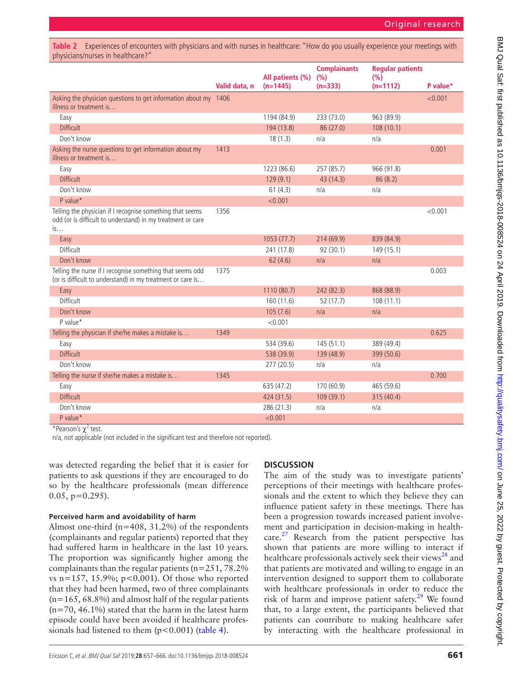<span id="page-4-0"></span>**Table 2** Experiences of encounters with physicians and with nurses in healthcare: "How do you usually experience your meetings with physicians/nurses in healthcare?"

|                                                                                                                                | Valid data, n | All patients (%)<br>$(n=1445)$ | <b>Complainants</b><br>(%)<br>$(n=333)$ | <b>Regular patients</b><br>(%)<br>$(n=1112)$ | P value* |
|--------------------------------------------------------------------------------------------------------------------------------|---------------|--------------------------------|-----------------------------------------|----------------------------------------------|----------|
| Asking the physician questions to get information about my 1406<br>illness or treatment is                                     |               |                                |                                         |                                              | < 0.001  |
| Easy                                                                                                                           |               | 1194 (84.9)                    | 233 (73.0)                              | 963 (89.9)                                   |          |
| <b>Difficult</b>                                                                                                               |               | 194 (13.8)                     | 86 (27.0)                               | 108(10.1)                                    |          |
| Don't know                                                                                                                     |               | 18(1.3)                        | n/a                                     | n/a                                          |          |
| Asking the nurse questions to get information about my<br>illness or treatment is                                              | 1413          |                                |                                         |                                              | 0.001    |
| Easy                                                                                                                           |               | 1223 (86.6)                    | 257 (85.7)                              | 966 (91.8)                                   |          |
| <b>Difficult</b>                                                                                                               |               | 129(9.1)                       | 43 (14.3)                               | 86(8.2)                                      |          |
| Don't know                                                                                                                     |               | 61(4.3)                        | n/a                                     | n/a                                          |          |
| P value*                                                                                                                       |               | < 0.001                        |                                         |                                              |          |
| Telling the physician if I recognise something that seems<br>odd (or is difficult to understand) in my treatment or care<br>is | 1356          |                                |                                         |                                              | < 0.001  |
| Easy                                                                                                                           |               | 1053 (77.7)                    | 214(69.9)                               | 839 (84.9)                                   |          |
| Difficult                                                                                                                      |               | 241 (17.8)                     | 92(30.1)                                | 149 (15.1)                                   |          |
| Don't know                                                                                                                     |               | 62(4.6)                        | n/a                                     | n/a                                          |          |
| Telling the nurse if I recognise something that seems odd<br>(or is difficult to understand) in my treatment or care is        | 1375          |                                |                                         |                                              | 0.003    |
| Easy                                                                                                                           |               | 1110 (80.7)                    | 242 (82.3)                              | 868 (88.9)                                   |          |
| Difficult                                                                                                                      |               | 160(11.6)                      | 52 (17.7)                               | 108(11.1)                                    |          |
| Don't know                                                                                                                     |               | 105(7.6)                       | n/a                                     | n/a                                          |          |
| P value*                                                                                                                       |               | < 0.001                        |                                         |                                              |          |
| Telling the physician if she/he makes a mistake is                                                                             | 1349          |                                |                                         |                                              | 0.625    |
| Easy                                                                                                                           |               | 534 (39.6)                     | 145(51.1)                               | 389 (49.4)                                   |          |
| <b>Difficult</b>                                                                                                               |               | 538 (39.9)                     | 139 (48.9)                              | 399 (50.6)                                   |          |
| Don't know                                                                                                                     |               | 277(20.5)                      | n/a                                     | n/a                                          |          |
| Telling the nurse if she/he makes a mistake is                                                                                 | 1345          |                                |                                         |                                              | 0.700    |
| Easy                                                                                                                           |               | 635 (47.2)                     | 170 (60.9)                              | 465 (59.6)                                   |          |
| <b>Difficult</b>                                                                                                               |               | 424 (31.5)                     | 109(39.1)                               | 315 (40.4)                                   |          |
| Don't know                                                                                                                     |               | 286 (21.3)                     | n/a                                     | n/a                                          |          |
| P value*                                                                                                                       |               | < 0.001                        |                                         |                                              |          |

\*Pearson's  $\chi^2$  test.

n/a, not applicable (not included in the significant test and therefore not reported).

was detected regarding the belief that it is easier for patients to ask questions if they are encouraged to do so by the healthcare professionals (mean difference  $0.05$ ,  $p=0.295$ ).

#### **Perceived harm and avoidability of harm**

Almost one-third ( $n=408$ , 31.2%) of the respondents (complainants and regular patients) reported that they had suffered harm in healthcare in the last 10 years. The proportion was significantly higher among the complainants than the regular patients ( $n=251, 78.2\%$ ) vs  $n=157, 15.9\%; p<0.001$ ). Of those who reported that they had been harmed, two of three complainants  $(n=165, 68.8%)$  and almost half of the regular patients  $(n=70, 46.1\%)$  stated that the harm in the latest harm episode could have been avoided if healthcare professionals had listened to them  $(p<0.001)$  ([table](#page-5-1) 4).

# **Discussion**

The aim of the study was to investigate patients' perceptions of their meetings with healthcare professionals and the extent to which they believe they can influence patient safety in these meetings. There has been a progression towards increased patient involvement and participation in decision-making in health $care.<sup>27</sup>$  Research from the patient perspective has shown that patients are more willing to interact if healthcare professionals actively seek their views<sup>[28](#page-8-15)</sup> and that patients are motivated and willing to engage in an intervention designed to support them to collaborate with healthcare professionals in order to reduce the risk of harm and improve patient safety.<sup>29</sup> We found that, to a large extent, the participants believed that patients can contribute to making healthcare safer by interacting with the healthcare professional in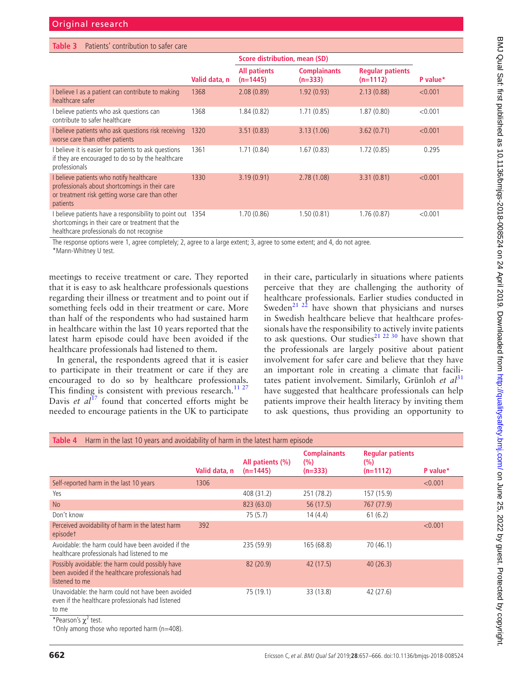<span id="page-5-0"></span>

| Patients' contribution to safer care<br>Table 3                                                                                                             |               |                                      |                                  |                                       |          |  |  |
|-------------------------------------------------------------------------------------------------------------------------------------------------------------|---------------|--------------------------------------|----------------------------------|---------------------------------------|----------|--|--|
|                                                                                                                                                             |               | <b>Score distribution, mean (SD)</b> |                                  |                                       |          |  |  |
|                                                                                                                                                             | Valid data, n | <b>All patients</b><br>$(n=1445)$    | <b>Complainants</b><br>$(n=333)$ | <b>Regular patients</b><br>$(n=1112)$ | P value* |  |  |
| I believe I as a patient can contribute to making<br>healthcare safer                                                                                       | 1368          | 2.08(0.89)                           | 1.92(0.93)                       | 2.13(0.88)                            | < 0.001  |  |  |
| I believe patients who ask questions can<br>contribute to safer healthcare                                                                                  | 1368          | 1.84(0.82)                           | 1.71(0.85)                       | 1.87(0.80)                            | < 0.001  |  |  |
| I believe patients who ask questions risk receiving<br>worse care than other patients                                                                       | 1320          | 3.51(0.83)                           | 3.13(1.06)                       | 3.62(0.71)                            | < 0.001  |  |  |
| I believe it is easier for patients to ask questions<br>if they are encouraged to do so by the healthcare<br>professionals                                  | 1361          | 1.71(0.84)                           | 1.67(0.83)                       | 1.72(0.85)                            | 0.295    |  |  |
| I believe patients who notify healthcare<br>professionals about shortcomings in their care<br>or treatment risk getting worse care than other<br>patients   | 1330          | 3.19(0.91)                           | 2.78(1.08)                       | 3.31(0.81)                            | < 0.001  |  |  |
| I believe patients have a responsibility to point out 1354<br>shortcomings in their care or treatment that the<br>healthcare professionals do not recognise |               | 1.70(0.86)                           | 1.50(0.81)                       | 1.76(0.87)                            | < 0.001  |  |  |

The response options were 1, agree completely; 2, agree to a large extent; 3, agree to some extent; and 4, do not agree.

\*Mann-Whitney U test.

meetings to receive treatment or care. They reported that it is easy to ask healthcare professionals questions regarding their illness or treatment and to point out if something feels odd in their treatment or care. More than half of the respondents who had sustained harm in healthcare within the last 10 years reported that the latest harm episode could have been avoided if the healthcare professionals had listened to them.

In general, the respondents agreed that it is easier to participate in their treatment or care if they are encouraged to do so by healthcare professionals. This finding is consistent with previous research.<sup>[11 27](#page-8-6)</sup> Davis *et al*<sup>[17](#page-8-12)</sup> found that concerted efforts might be needed to encourage patients in the UK to participate

in their care, particularly in situations where patients perceive that they are challenging the authority of healthcare professionals. Earlier studies conducted in Sweden<sup>21 22</sup> have shown that physicians and nurses in Swedish healthcare believe that healthcare professionals have the responsibility to actively invite patients to ask questions. Our studies<sup>21 22 30</sup> have shown that the professionals are largely positive about patient involvement for safer care and believe that they have an important role in creating a climate that facilitates patient involvement. Similarly, Grünloh *et al*<sup>[31](#page-8-18)</sup> have suggested that healthcare professionals can help patients improve their health literacy by inviting them to ask questions, thus providing an opportunity to

<span id="page-5-1"></span>

| Harm in the last 10 years and avoidability of harm in the latest harm episode<br>Table 4                               |               |                                |                                         |                                               |          |  |
|------------------------------------------------------------------------------------------------------------------------|---------------|--------------------------------|-----------------------------------------|-----------------------------------------------|----------|--|
|                                                                                                                        | Valid data, n | All patients (%)<br>$(n=1445)$ | <b>Complainants</b><br>(%)<br>$(n=333)$ | <b>Regular patients</b><br>(% )<br>$(n=1112)$ | P value* |  |
| Self-reported harm in the last 10 years                                                                                | 1306          |                                |                                         |                                               | < 0.001  |  |
| Yes                                                                                                                    |               | 408 (31.2)                     | 251 (78.2)                              | 157 (15.9)                                    |          |  |
| <b>No</b>                                                                                                              |               | 823 (63.0)                     | 56(17.5)                                | 767 (77.9)                                    |          |  |
| Don't know                                                                                                             |               | 75 (5.7)                       | 14(4.4)                                 | 61(6.2)                                       |          |  |
| Perceived avoidability of harm in the latest harm<br>episodet                                                          | 392           |                                |                                         |                                               | < 0.001  |  |
| Avoidable: the harm could have been avoided if the<br>healthcare professionals had listened to me                      |               | 235 (59.9)                     | 165(68.8)                               | 70(46.1)                                      |          |  |
| Possibly avoidable: the harm could possibly have<br>been avoided if the healthcare professionals had<br>listened to me |               | 82 (20.9)                      | 42 (17.5)                               | 40(26.3)                                      |          |  |
| Unavoidable: the harm could not have been avoided<br>even if the healthcare professionals had listened<br>to me        |               | 75 (19.1)                      | 33 (13.8)                               | 42 (27.6)                                     |          |  |
| *Pearson's $\chi^2$ test.<br>+Only among those who reported harm (n=408).                                              |               |                                |                                         |                                               |          |  |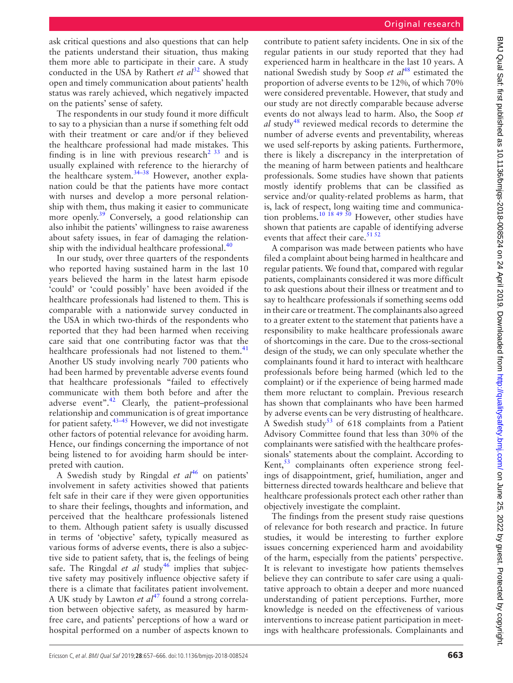ask critical questions and also questions that can help the patients understand their situation, thus making them more able to participate in their care. A study conducted in the USA by Rathert *et al*<sup>[32](#page-8-19)</sup> showed that open and timely communication about patients' health status was rarely achieved, which negatively impacted on the patients' sense of safety.

The respondents in our study found it more difficult to say to a physician than a nurse if something felt odd with their treatment or care and/or if they believed the healthcare professional had made mistakes. This finding is in line with previous research<sup>2 33</sup> and is usually explained with reference to the hierarchy of the healthcare system. $34-38$  However, another explanation could be that the patients have more contact with nurses and develop a more personal relationship with them, thus making it easier to communicate more openly.<sup>[39](#page-9-0)</sup> Conversely, a good relationship can also inhibit the patients' willingness to raise awareness about safety issues, in fear of damaging the relationship with the individual healthcare professional. $40$ 

In our study, over three quarters of the respondents who reported having sustained harm in the last 10 years believed the harm in the latest harm episode 'could' or 'could possibly' have been avoided if the healthcare professionals had listened to them. This is comparable with a nationwide survey conducted in the USA in which two-thirds of the respondents who reported that they had been harmed when receiving care said that one contributing factor was that the healthcare professionals had not listened to them.<sup>41</sup> Another US study involving nearly 700 patients who had been harmed by preventable adverse events found that healthcare professionals "failed to effectively communicate with them both before and after the adverse event". $42$  Clearly, the patient–professional relationship and communication is of great importance for patient safety.[43–45](#page-9-4) However, we did not investigate other factors of potential relevance for avoiding harm. Hence, our findings concerning the importance of not being listened to for avoiding harm should be interpreted with caution.

A Swedish study by Ringdal *et al*<sup>[46](#page-9-5)</sup> on patients' involvement in safety activities showed that patients felt safe in their care if they were given opportunities to share their feelings, thoughts and information, and perceived that the healthcare professionals listened to them. Although patient safety is usually discussed in terms of 'objective' safety, typically measured as various forms of adverse events, there is also a subjective side to patient safety, that is, the feelings of being safe. The Ringdal *et al* study<sup>[46](#page-9-5)</sup> implies that subjective safety may positively influence objective safety if there is a climate that facilitates patient involvement. A UK study by Lawton *et al*<sup>47</sup> found a strong correlation between objective safety, as measured by harmfree care, and patients' perceptions of how a ward or hospital performed on a number of aspects known to

contribute to patient safety incidents. One in six of the regular patients in our study reported that they had experienced harm in healthcare in the last 10 years. A national Swedish study by Soop *et al*<sup>48</sup> estimated the proportion of adverse events to be 12%, of which 70% were considered preventable. However, that study and our study are not directly comparable because adverse events do not always lead to harm. Also, the Soop *et al* study<sup>[48](#page-9-7)</sup> reviewed medical records to determine the number of adverse events and preventability, whereas we used self-reports by asking patients. Furthermore, there is likely a discrepancy in the interpretation of the meaning of harm between patients and healthcare professionals. Some studies have shown that patients mostly identify problems that can be classified as service and/or quality-related problems as harm, that is, lack of respect, long waiting time and communica-tion problems.<sup>[10 18 49 50](#page-8-22)</sup> However, other studies have shown that patients are capable of identifying adverse events that affect their care.<sup>[51 52](#page-9-8)</sup>

A comparison was made between patients who have filed a complaint about being harmed in healthcare and regular patients. We found that, compared with regular patients, complainants considered it was more difficult to ask questions about their illness or treatment and to say to healthcare professionals if something seems odd in their care or treatment. The complainants also agreed to a greater extent to the statement that patients have a responsibility to make healthcare professionals aware of shortcomings in the care. Due to the cross-sectional design of the study, we can only speculate whether the complainants found it hard to interact with healthcare professionals before being harmed (which led to the complaint) or if the experience of being harmed made them more reluctant to complain. Previous research has shown that complainants who have been harmed by adverse events can be very distrusting of healthcare. A Swedish study<sup>53</sup> of 618 complaints from a Patient Advisory Committee found that less than 30% of the complainants were satisfied with the healthcare professionals' statements about the complaint. According to Kent,<sup>[53](#page-9-9)</sup> complainants often experience strong feelings of disappointment, grief, humiliation, anger and bitterness directed towards healthcare and believe that healthcare professionals protect each other rather than objectively investigate the complaint.

The findings from the present study raise questions of relevance for both research and practice. In future studies, it would be interesting to further explore issues concerning experienced harm and avoidability of the harm, especially from the patients' perspective. It is relevant to investigate how patients themselves believe they can contribute to safer care using a qualitative approach to obtain a deeper and more nuanced understanding of patient perceptions. Further, more knowledge is needed on the effectiveness of various interventions to increase patient participation in meetings with healthcare professionals. Complainants and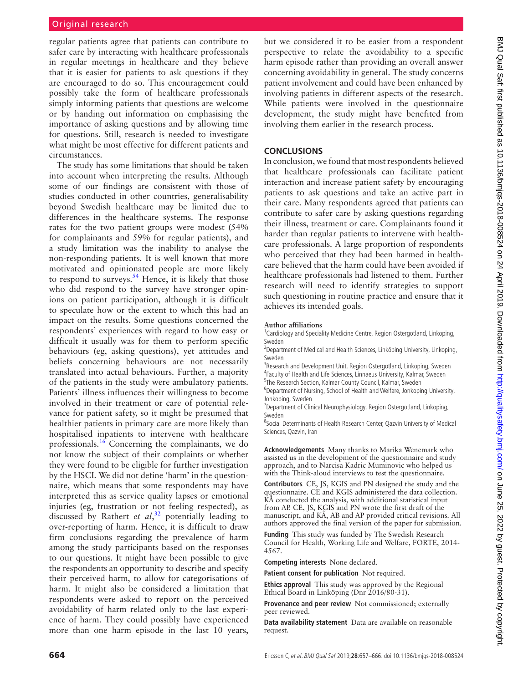regular patients agree that patients can contribute to safer care by interacting with healthcare professionals in regular meetings in healthcare and they believe that it is easier for patients to ask questions if they are encouraged to do so. This encouragement could possibly take the form of healthcare professionals simply informing patients that questions are welcome or by handing out information on emphasising the importance of asking questions and by allowing time for questions. Still, research is needed to investigate what might be most effective for different patients and circumstances.

The study has some limitations that should be taken into account when interpreting the results. Although some of our findings are consistent with those of studies conducted in other countries, generalisability beyond Swedish healthcare may be limited due to differences in the healthcare systems. The response rates for the two patient groups were modest (54% for complainants and 59% for regular patients), and a study limitation was the inability to analyse the non-responding patients. It is well known that more motivated and opinionated people are more likely to respond to surveys.<sup>[54](#page-9-10)</sup> Hence, it is likely that those who did respond to the survey have stronger opinions on patient participation, although it is difficult to speculate how or the extent to which this had an impact on the results. Some questions concerned the respondents' experiences with regard to how easy or difficult it usually was for them to perform specific behaviours (eg, asking questions), yet attitudes and beliefs concerning behaviours are not necessarily translated into actual behaviours. Further, a majority of the patients in the study were ambulatory patients. Patients' illness influences their willingness to become involved in their treatment or care of potential relevance for patient safety, so it might be presumed that healthier patients in primary care are more likely than hospitalised inpatients to intervene with healthcare professionals.<sup>16</sup> Concerning the complainants, we do not know the subject of their complaints or whether they were found to be eligible for further investigation by the HSCI. We did not define 'harm' in the questionnaire, which means that some respondents may have interpreted this as service quality lapses or emotional injuries (eg, frustration or not feeling respected), as discussed by Rathert *et al*, [32](#page-8-19) potentially leading to over-reporting of harm. Hence, it is difficult to draw firm conclusions regarding the prevalence of harm among the study participants based on the responses to our questions. It might have been possible to give the respondents an opportunity to describe and specify their perceived harm, to allow for categorisations of harm. It might also be considered a limitation that respondents were asked to report on the perceived avoidability of harm related only to the last experience of harm. They could possibly have experienced more than one harm episode in the last 10 years,

but we considered it to be easier from a respondent perspective to relate the avoidability to a specific harm episode rather than providing an overall answer concerning avoidability in general. The study concerns patient involvement and could have been enhanced by involving patients in different aspects of the research. While patients were involved in the questionnaire development, the study might have benefited from involving them earlier in the research process.

### **Conclusions**

In conclusion, we found that most respondents believed that healthcare professionals can facilitate patient interaction and increase patient safety by encouraging patients to ask questions and take an active part in their care. Many respondents agreed that patients can contribute to safer care by asking questions regarding their illness, treatment or care. Complainants found it harder than regular patients to intervene with healthcare professionals. A large proportion of respondents who perceived that they had been harmed in healthcare believed that the harm could have been avoided if healthcare professionals had listened to them. Further research will need to identify strategies to support such questioning in routine practice and ensure that it achieves its intended goals.

#### **Author affiliations**

<sup>1</sup> Cardiology and Speciality Medicine Centre, Region Ostergotland, Linkoping, Sweden

<sup>2</sup>Department of Medical and Health Sciences, Linköping University, Linkoping, Sweden

<sup>3</sup>Research and Development Unit, Region Ostergotland, Linkoping, Sweden 4 Faculty of Health and Life Sciences, Linnaeus University, Kalmar, Sweden <sup>5</sup>The Research Section, Kalmar County Council, Kalmar, Sweden

<sup>6</sup>Department of Nursing, School of Health and Welfare, Jonkoping University, Jonkoping, Sweden

<sup>7</sup>Department of Clinical Neurophysiology, Region Ostergotland, Linkoping, Sweden

<sup>8</sup>Social Determinants of Health Research Center, Qazvin University of Medical Sciences, Qazvin, Iran

**Acknowledgements** Many thanks to Marika Wenemark who assisted us in the development of the questionnaire and study approach, and to Narcisa Kadric Muminovic who helped us with the Think-aloud interviews to test the questionnaire.

**Contributors** CE, JS, KGIS and PN designed the study and the questionnaire. CE and KGIS administered the data collection. KÅ conducted the analysis, with additional statistical input from AP. CE, JS, KGIS and PN wrote the first draft of the manuscript, and KÅ, AB and AP provided critical revisions. All authors approved the final version of the paper for submission.

**Funding** This study was funded by The Swedish Research Council for Health, Working Life and Welfare, FORTE, 2014- 4567.

**Competing interests** None declared.

**Patient consent for publication** Not required.

**Ethics approval** This study was approved by the Regional Ethical Board in Linköping (Dnr 2016/80-31).

**Provenance and peer review** Not commissioned; externally peer reviewed.

**Data availability statement** Data are available on reasonable request.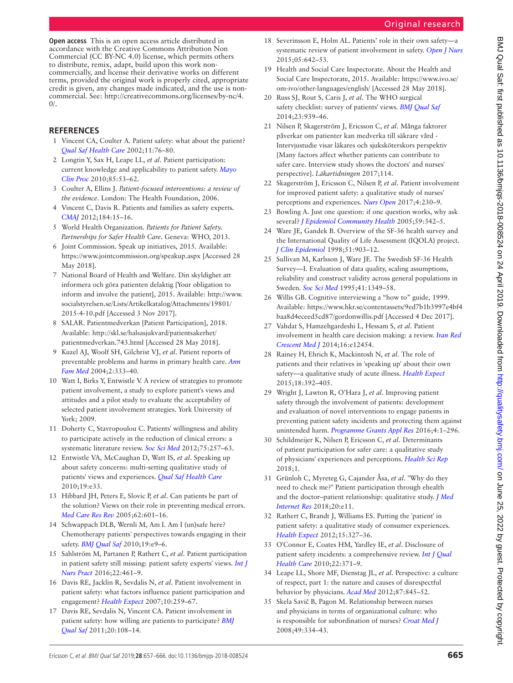### Original research

**Open access** This is an open access article distributed in accordance with the Creative Commons Attribution Non Commercial (CC BY-NC 4.0) license, which permits others to distribute, remix, adapt, build upon this work noncommercially, and license their derivative works on different terms, provided the original work is properly cited, appropriate credit is given, any changes made indicated, and the use is noncommercial. See: [http://creativecommons.org/licenses/by-nc/4.](http://creativecommons.org/licenses/by-nc/4.0/)  $0/$ .

#### **References**

- <span id="page-8-0"></span>1 Vincent CA, Coulter A. Patient safety: what about the patient? *[Qual Saf Health Care](http://dx.doi.org/10.1136/qhc.11.1.76)* 2002;11:76–80.
- <span id="page-8-20"></span>2 Longtin Y, Sax H, Leape LL, *et al*. Patient participation: current knowledge and applicability to patient safety. *[Mayo](http://dx.doi.org/10.4065/mcp.2009.0248)  [Clin Proc](http://dx.doi.org/10.4065/mcp.2009.0248)* 2010;85:53–62.
- 3 Coulter A, Ellins J. *Patient-focused interventions: a review of the evidence*. London: The Health Foundation, 2006.
- <span id="page-8-1"></span>4 Vincent C, Davis R. Patients and families as safety experts. *[CMAJ](http://dx.doi.org/10.1503/cmaj.111311)* 2012;184:15–16.
- <span id="page-8-2"></span>5 World Health Organization. *Patients for Patient Safety. Partnerships for Safer Health Care*. Geneva: WHO, 2013.
- <span id="page-8-3"></span>6 Joint Commission. Speak up initiatives, 2015. Available: <https://www.jointcommission.org/speakup.aspx> [Accessed 28 May 2018].
- <span id="page-8-4"></span>7 National Board of Health and Welfare. Din skyldighet att informera och göra patienten delaktig [Your obligation to inform and involve the patient], 2015. Available: [http://www.](http://www.socialstyrelsen.se/Lists/Artikelkatalog/Attachments/19801/2015-4-10.pdf) [socialstyrelsen.se/Lists/Artikelkatalog/Attachments/19801/](http://www.socialstyrelsen.se/Lists/Artikelkatalog/Attachments/19801/2015-4-10.pdf) [2015-4-10.pdf](http://www.socialstyrelsen.se/Lists/Artikelkatalog/Attachments/19801/2015-4-10.pdf) [Accessed 3 Nov 2017].
- 8 SALAR. Patientmedverkan [Patient Participation], 2018. Available: [http://skl.se/halsasjukvard/patientsakerhet/](http://skl.se/halsasjukvard/patientsakerhet/patientmedverkan.743.html) [patientmedverkan.743.html](http://skl.se/halsasjukvard/patientsakerhet/patientmedverkan.743.html) [Accessed 28 May 2018].
- <span id="page-8-5"></span>9 Kuzel AJ, Woolf SH, Gilchrist VJ, *et al*. Patient reports of preventable problems and harms in primary health care. *[Ann](http://dx.doi.org/10.1370/afm.220)  [Fam Med](http://dx.doi.org/10.1370/afm.220)* 2004;2:333–40.
- <span id="page-8-22"></span>10 Watt I, Birks Y, Entwistle V. A review of strategies to promote patient involvement, a study to explore patient's views and attitudes and a pilot study to evaluate the acceptability of selected patient involvement strategies. York University of York; 2009.
- <span id="page-8-6"></span>11 Doherty C, Stavropoulou C. Patients' willingness and ability to participate actively in the reduction of clinical errors: a systematic literature review. *[Soc Sci Med](http://dx.doi.org/10.1016/j.socscimed.2012.02.056)* 2012;75:257–63.
- <span id="page-8-7"></span>12 Entwistle VA, McCaughan D, Watt IS, *et al*. Speaking up about safety concerns: multi-setting qualitative study of patients' views and experiences. *[Qual Saf Health Care](http://dx.doi.org/10.1136/qshc.2009.039743)* 2010;19:e33.
- 13 Hibbard JH, Peters E, Slovic P, *et al*. Can patients be part of the solution? Views on their role in preventing medical errors. *[Med Care Res Rev](http://dx.doi.org/10.1177/1077558705279313)* 2005;62:601–16.
- <span id="page-8-8"></span>14 Schwappach DLB, Wernli M, Am I. Am I (un)safe here? Chemotherapy patients' perspectives towards engaging in their safety. *[BMJ Qual Saf](http://dx.doi.org/10.1136/qshc.2009.033118)* 2010;19:e9–6.
- <span id="page-8-9"></span>15 Sahlström M, Partanen P, Rathert C, *et al*. Patient participation in patient safety still missing: patient safety experts' views. *[Int J](http://dx.doi.org/10.1111/ijn.12476)  [Nurs Pract](http://dx.doi.org/10.1111/ijn.12476)* 2016;22:461–9.
- <span id="page-8-23"></span>16 Davis RE, Jacklin R, Sevdalis N, *et al*. Patient involvement in patient safety: what factors influence patient participation and engagement? *[Health Expect](http://dx.doi.org/10.1111/j.1369-7625.2007.00450.x)* 2007;10:259–67.
- <span id="page-8-12"></span>17 Davis RE, Sevdalis N, Vincent CA. Patient involvement in patient safety: how willing are patients to participate? *[BMJ](http://dx.doi.org/10.1136/bmjqs.2010.041871)  [Qual Saf](http://dx.doi.org/10.1136/bmjqs.2010.041871)* 2011;20:108–14.
- <span id="page-8-10"></span>18 Severinsson E, Holm AL. Patients' role in their own safety—a systematic review of patient involvement in safety. *[Open J Nurs](http://dx.doi.org/10.4236/ojn.2015.57068)* 2015;05:642–53.
- <span id="page-8-11"></span>19 Health and Social Care Inspectorate. About the Health and Social Care Inspectorate, 2015. Available: [https://www.ivo.se/](https://www.ivo.se/om-ivo/other-languages/english/) [om-ivo/other-languages/english/](https://www.ivo.se/om-ivo/other-languages/english/) [Accessed 28 May 2018].
- 20 Russ SJ, Rout S, Caris J, *et al*. The WHO surgical safety checklist: survey of patients' views. *[BMJ Qual Saf](http://dx.doi.org/10.1136/bmjqs-2013-002772)* 2014;23:939–46.
- <span id="page-8-17"></span>21 Nilsen P, Skagerström J, Ericsson C, *et al*. Många faktorer påverkar om patienter kan medverka till säkrare vård - Intervjustudie visar läkares och sjuksköterskors perspektiv [Many factors affect whether patients can contribute to safer care. Interview study shows the doctors' and nurses' perspective]. *Läkartidningen* 2017;114.
- 22 Skagerström J, Ericsson C, Nilsen P, *et al*. Patient involvement for improved patient safety: a qualitative study of nurses' perceptions and experiences. *[Nurs Open](http://dx.doi.org/10.1002/nop2.89)* 2017;4:230–9.
- 23 Bowling A. Just one question: if one question works, why ask several? *[J Epidemiol Community Health](http://dx.doi.org/10.1136/jech.2004.021204)* 2005;59:342–5.
- 24 Ware JE, Gandek B. Overview of the SF-36 health survey and the International Quality of Life Assessment (IQOLA) project. *[J Clin Epidemiol](http://dx.doi.org/10.1016/S0895-4356(98)00081-X)* 1998;51:903–12.
- 25 Sullivan M, Karlsson J, Ware JE. The Swedish SF-36 Health Survey—I. Evaluation of data quality, scaling assumptions, reliability and construct validity across general populations in Sweden. *[Soc Sci Med](http://dx.doi.org/10.1016/0277-9536(95)00125-Q)* 1995;41:1349–58.
- <span id="page-8-13"></span>26 Willis GB. Cognitive interviewing a "how to" guide, 1999. Available: [https://www.hkr.se/contentassets/9ed7b1b3997e4bf4](https://www.hkr.se/contentassets/9ed7b1b3997e4bf4baa8d4eceed5cd87/gordonwillis.pdf) [baa8d4eceed5cd87/gordonwillis.pdf](https://www.hkr.se/contentassets/9ed7b1b3997e4bf4baa8d4eceed5cd87/gordonwillis.pdf) [Accessed 4 Dec 2017].
- <span id="page-8-14"></span>27 Vahdat S, Hamzehgardeshi L, Hessam S, *et al*. Patient involvement in health care decision making: a review. *[Iran Red](http://dx.doi.org/10.5812/ircmj.12454)  [Crescent Med J](http://dx.doi.org/10.5812/ircmj.12454)* 2014;16:e12454.
- <span id="page-8-15"></span>28 Rainey H, Ehrich K, Mackintosh N, *et al*. The role of patients and their relatives in 'speaking up' about their own safety—a qualitative study of acute illness. *[Health Expect](http://dx.doi.org/10.1111/hex.12044)* 2015;18:392–405.
- <span id="page-8-16"></span>29 Wright J, Lawton R, O'Hara J, *et al*. Improving patient safety through the involvement of patients: development and evaluation of novel interventions to engage patients in preventing patient safety incidents and protecting them against unintended harm. *[Programme Grants Appl Res](http://dx.doi.org/10.3310/pgfar04150)* 2016;4:1–296.
- 30 Schildmeijer K, Nilsen P, Ericsson C, *et al*. Determinants of patient participation for safer care: a qualitative study of physicians' experiences and perceptions. *[Health Sci Rep](http://dx.doi.org/10.1002/hsr2.87)* 2018;1.
- <span id="page-8-18"></span>31 Grünloh C, Myreteg G, Cajander Åsa, *et al*. "Why do they need to check me?" Patient participation through ehealth and the doctor–patient relationship: qualitative study. *[J Med](http://dx.doi.org/10.2196/jmir.8444)  [Internet Res](http://dx.doi.org/10.2196/jmir.8444)* 2018;20:e11.
- <span id="page-8-19"></span>32 Rathert C, Brandt J, Williams ES. Putting the 'patient' in patient safety: a qualitative study of consumer experiences. *[Health Expect](http://dx.doi.org/10.1111/j.1369-7625.2011.00685.x)* 2012;15:327–36.
- 33 O'Connor E, Coates HM, Yardley IE, *et al*. Disclosure of patient safety incidents: a comprehensive review. *[Int J Qual](http://dx.doi.org/10.1093/intqhc/mzq042)  [Health Care](http://dx.doi.org/10.1093/intqhc/mzq042)* 2010;22:371–9.
- <span id="page-8-21"></span>34 Leape LL, Shore MF, Dienstag JL, *et al*. Perspective: a culture of respect, part 1: the nature and causes of disrespectful behavior by physicians. *[Acad Med](http://dx.doi.org/10.1097/ACM.0b013e318258338d)* 2012;87:845–52.
- 35 Skela Savič B, Pagon M. Relationship between nurses and physicians in terms of organizational culture: who is responsible for subordination of nurses? *[Croat Med J](http://dx.doi.org/10.3325/cmj.2008.3.334)* 2008;49:334–43.